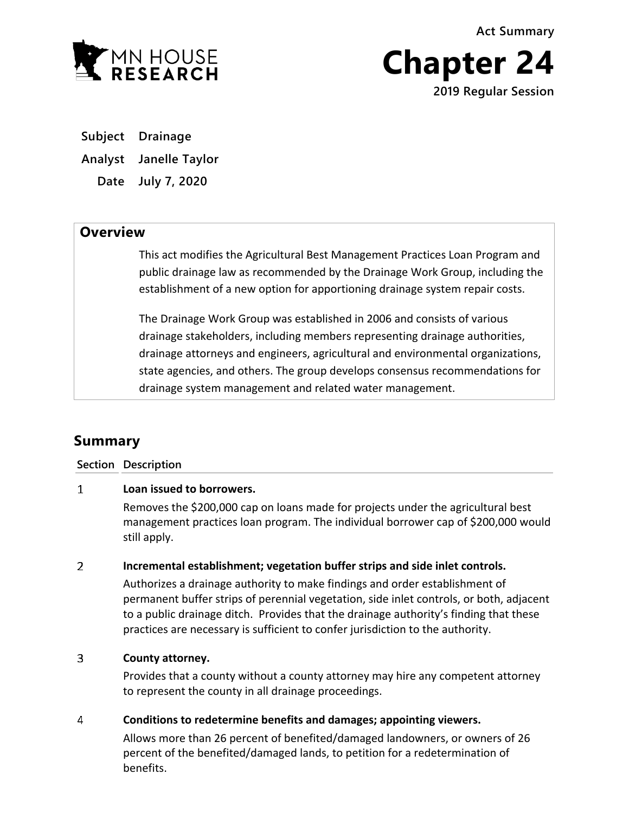**Act Summary**



**Chapter 24 2019 Regular Session**

**Subject Drainage**

**Analyst Janelle Taylor**

**Date July 7, 2020**

## **Overview**

This act modifies the Agricultural Best Management Practices Loan Program and public drainage law as recommended by the Drainage Work Group, including the establishment of a new option for apportioning drainage system repair costs.

The Drainage Work Group was established in 2006 and consists of various drainage stakeholders, including members representing drainage authorities, drainage attorneys and engineers, agricultural and environmental organizations, state agencies, and others. The group develops consensus recommendations for drainage system management and related water management.

# **Summary**

**Section Description**

#### $\mathbf{1}$ **Loan issued to borrowers.**

Removes the \$200,000 cap on loans made for projects under the agricultural best management practices loan program. The individual borrower cap of \$200,000 would still apply.

#### $\overline{2}$ **Incremental establishment; vegetation buffer strips and side inlet controls.**

Authorizes a drainage authority to make findings and order establishment of permanent buffer strips of perennial vegetation, side inlet controls, or both, adjacent to a public drainage ditch. Provides that the drainage authority's finding that these practices are necessary is sufficient to confer jurisdiction to the authority.

#### $\overline{3}$ **County attorney.**

Provides that a county without a county attorney may hire any competent attorney to represent the county in all drainage proceedings.

#### 4 **Conditions to redetermine benefits and damages; appointing viewers.**

Allows more than 26 percent of benefited/damaged landowners, or owners of 26 percent of the benefited/damaged lands, to petition for a redetermination of benefits.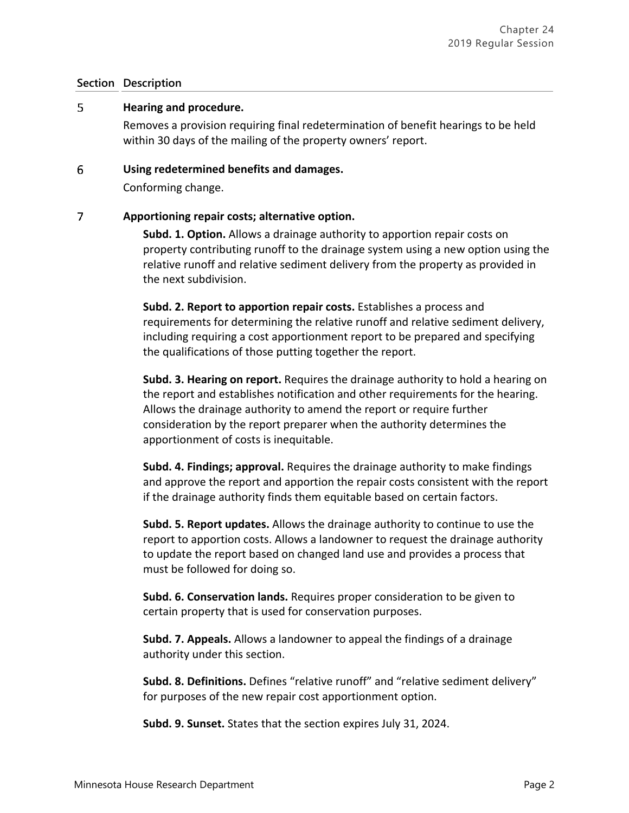### **Section Description**

#### 5 **Hearing and procedure.**

Removes a provision requiring final redetermination of benefit hearings to be held within 30 days of the mailing of the property owners' report.

#### 6 **Using redetermined benefits and damages.**

Conforming change.

#### $\overline{7}$ **Apportioning repair costs; alternative option.**

**Subd. 1. Option.** Allows a drainage authority to apportion repair costs on property contributing runoff to the drainage system using a new option using the relative runoff and relative sediment delivery from the property as provided in the next subdivision.

**Subd. 2. Report to apportion repair costs.** Establishes a process and requirements for determining the relative runoff and relative sediment delivery, including requiring a cost apportionment report to be prepared and specifying the qualifications of those putting together the report.

**Subd. 3. Hearing on report.** Requires the drainage authority to hold a hearing on the report and establishes notification and other requirements for the hearing. Allows the drainage authority to amend the report or require further consideration by the report preparer when the authority determines the apportionment of costs is inequitable.

**Subd. 4. Findings; approval.** Requires the drainage authority to make findings and approve the report and apportion the repair costs consistent with the report if the drainage authority finds them equitable based on certain factors.

**Subd. 5. Report updates.** Allows the drainage authority to continue to use the report to apportion costs. Allows a landowner to request the drainage authority to update the report based on changed land use and provides a process that must be followed for doing so.

**Subd. 6. Conservation lands.** Requires proper consideration to be given to certain property that is used for conservation purposes.

**Subd. 7. Appeals.** Allows a landowner to appeal the findings of a drainage authority under this section.

**Subd. 8. Definitions.** Defines "relative runoff" and "relative sediment delivery" for purposes of the new repair cost apportionment option.

**Subd. 9. Sunset.** States that the section expires July 31, 2024.